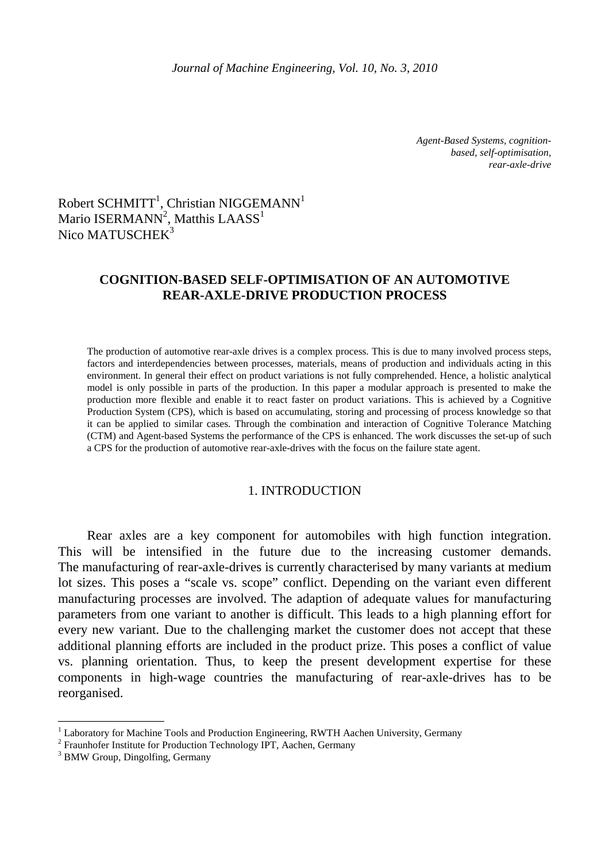*Agent-Based Systems, cognitionbased, self-optimisation, rear-axle-drive* 

# Robert SCHMITT<sup>1</sup>, Christian NIGGEMANN<sup>1</sup> Mario ISERMANN $^2$ , Matthis LAASS $^1$ Nico MATUSCHEK<sup>3</sup>

# **COGNITION-BASED SELF-OPTIMISATION OF AN AUTOMOTIVE REAR-AXLE-DRIVE PRODUCTION PROCESS**

The production of automotive rear-axle drives is a complex process. This is due to many involved process steps, factors and interdependencies between processes, materials, means of production and individuals acting in this environment. In general their effect on product variations is not fully comprehended. Hence, a holistic analytical model is only possible in parts of the production. In this paper a modular approach is presented to make the production more flexible and enable it to react faster on product variations. This is achieved by a Cognitive Production System (CPS), which is based on accumulating, storing and processing of process knowledge so that it can be applied to similar cases. Through the combination and interaction of Cognitive Tolerance Matching (CTM) and Agent-based Systems the performance of the CPS is enhanced. The work discusses the set-up of such a CPS for the production of automotive rear-axle-drives with the focus on the failure state agent.

### 1. INTRODUCTION

Rear axles are a key component for automobiles with high function integration. This will be intensified in the future due to the increasing customer demands. The manufacturing of rear-axle-drives is currently characterised by many variants at medium lot sizes. This poses a "scale vs. scope" conflict. Depending on the variant even different manufacturing processes are involved. The adaption of adequate values for manufacturing parameters from one variant to another is difficult. This leads to a high planning effort for every new variant. Due to the challenging market the customer does not accept that these additional planning efforts are included in the product prize. This poses a conflict of value vs. planning orientation. Thus, to keep the present development expertise for these components in high-wage countries the manufacturing of rear-axle-drives has to be reorganised.

\_\_\_\_\_\_\_\_\_\_\_\_\_\_\_\_

<sup>&</sup>lt;sup>1</sup> Laboratory for Machine Tools and Production Engineering, RWTH Aachen University, Germany

<sup>&</sup>lt;sup>2</sup> Fraunhofer Institute for Production Technology IPT, Aachen, Germany

<sup>&</sup>lt;sup>3</sup> BMW Group, Dingolfing, Germany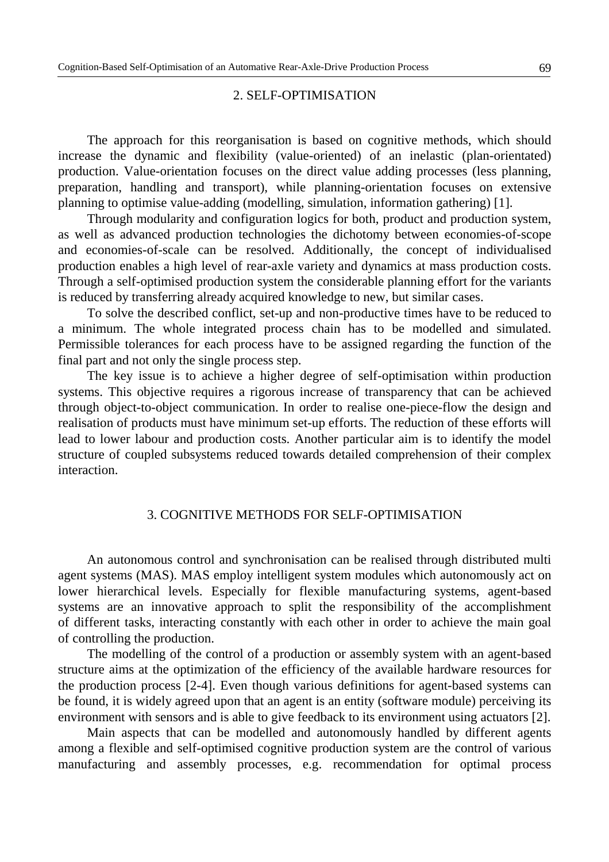#### 2. SELF-OPTIMISATION

The approach for this reorganisation is based on cognitive methods, which should increase the dynamic and flexibility (value-oriented) of an inelastic (plan-orientated) production. Value-orientation focuses on the direct value adding processes (less planning, preparation, handling and transport), while planning-orientation focuses on extensive planning to optimise value-adding (modelling, simulation, information gathering) [1].

Through modularity and configuration logics for both, product and production system, as well as advanced production technologies the dichotomy between economies-of-scope and economies-of-scale can be resolved. Additionally, the concept of individualised production enables a high level of rear-axle variety and dynamics at mass production costs. Through a self-optimised production system the considerable planning effort for the variants is reduced by transferring already acquired knowledge to new, but similar cases.

To solve the described conflict, set-up and non-productive times have to be reduced to a minimum. The whole integrated process chain has to be modelled and simulated. Permissible tolerances for each process have to be assigned regarding the function of the final part and not only the single process step.

The key issue is to achieve a higher degree of self-optimisation within production systems. This objective requires a rigorous increase of transparency that can be achieved through object-to-object communication. In order to realise one-piece-flow the design and realisation of products must have minimum set-up efforts. The reduction of these efforts will lead to lower labour and production costs. Another particular aim is to identify the model structure of coupled subsystems reduced towards detailed comprehension of their complex interaction.

### 3. COGNITIVE METHODS FOR SELF-OPTIMISATION

An autonomous control and synchronisation can be realised through distributed multi agent systems (MAS). MAS employ intelligent system modules which autonomously act on lower hierarchical levels. Especially for flexible manufacturing systems, agent-based systems are an innovative approach to split the responsibility of the accomplishment of different tasks, interacting constantly with each other in order to achieve the main goal of controlling the production.

The modelling of the control of a production or assembly system with an agent-based structure aims at the optimization of the efficiency of the available hardware resources for the production process [2-4]. Even though various definitions for agent-based systems can be found, it is widely agreed upon that an agent is an entity (software module) perceiving its environment with sensors and is able to give feedback to its environment using actuators [2].

Main aspects that can be modelled and autonomously handled by different agents among a flexible and self-optimised cognitive production system are the control of various manufacturing and assembly processes, e.g. recommendation for optimal process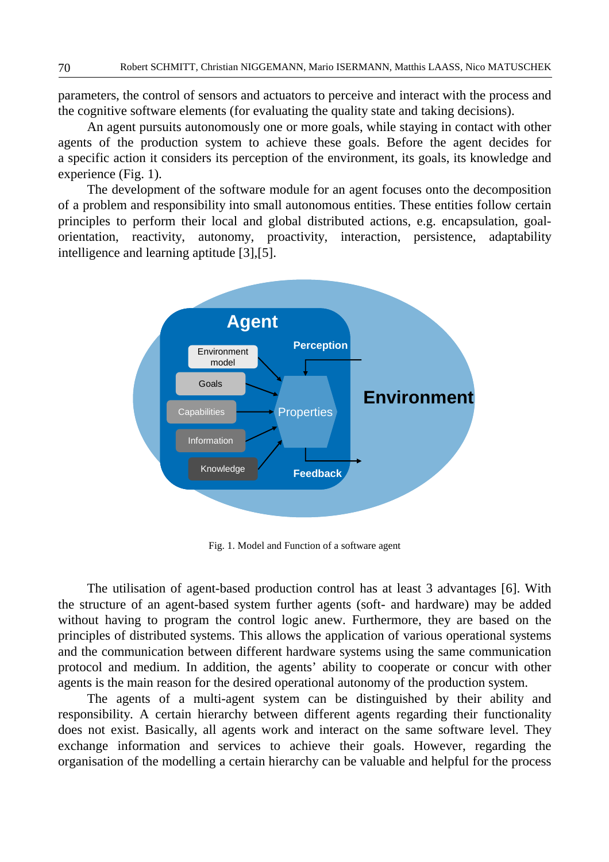parameters, the control of sensors and actuators to perceive and interact with the process and the cognitive software elements (for evaluating the quality state and taking decisions).

An agent pursuits autonomously one or more goals, while staying in contact with other agents of the production system to achieve these goals. Before the agent decides for a specific action it considers its perception of the environment, its goals, its knowledge and experience (Fig. 1).

The development of the software module for an agent focuses onto the decomposition of a problem and responsibility into small autonomous entities. These entities follow certain principles to perform their local and global distributed actions, e.g. encapsulation, goalorientation, reactivity, autonomy, proactivity, interaction, persistence, adaptability intelligence and learning aptitude [3],[5].



Fig. 1. Model and Function of a software agent

The utilisation of agent-based production control has at least 3 advantages [6]. With the structure of an agent-based system further agents (soft- and hardware) may be added without having to program the control logic anew. Furthermore, they are based on the principles of distributed systems. This allows the application of various operational systems and the communication between different hardware systems using the same communication protocol and medium. In addition, the agents' ability to cooperate or concur with other agents is the main reason for the desired operational autonomy of the production system.

The agents of a multi-agent system can be distinguished by their ability and responsibility. A certain hierarchy between different agents regarding their functionality does not exist. Basically, all agents work and interact on the same software level. They exchange information and services to achieve their goals. However, regarding the organisation of the modelling a certain hierarchy can be valuable and helpful for the process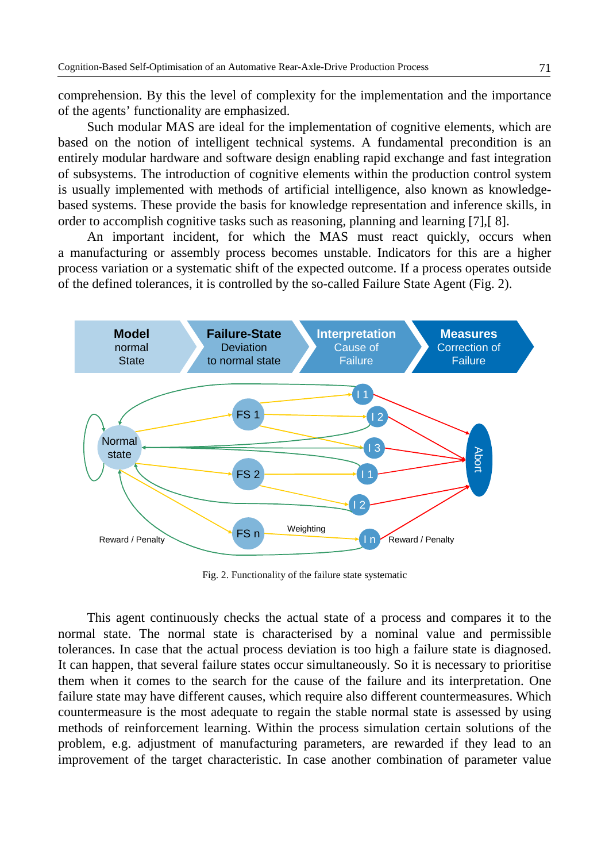comprehension. By this the level of complexity for the implementation and the importance of the agents' functionality are emphasized.

Such modular MAS are ideal for the implementation of cognitive elements, which are based on the notion of intelligent technical systems. A fundamental precondition is an entirely modular hardware and software design enabling rapid exchange and fast integration of subsystems. The introduction of cognitive elements within the production control system is usually implemented with methods of artificial intelligence, also known as knowledgebased systems. These provide the basis for knowledge representation and inference skills, in order to accomplish cognitive tasks such as reasoning, planning and learning [7],[ 8].

An important incident, for which the MAS must react quickly, occurs when a manufacturing or assembly process becomes unstable. Indicators for this are a higher process variation or a systematic shift of the expected outcome. If a process operates outside of the defined tolerances, it is controlled by the so-called Failure State Agent (Fig. 2).



Fig. 2. Functionality of the failure state systematic

This agent continuously checks the actual state of a process and compares it to the normal state. The normal state is characterised by a nominal value and permissible tolerances. In case that the actual process deviation is too high a failure state is diagnosed. It can happen, that several failure states occur simultaneously. So it is necessary to prioritise them when it comes to the search for the cause of the failure and its interpretation. One failure state may have different causes, which require also different countermeasures. Which countermeasure is the most adequate to regain the stable normal state is assessed by using methods of reinforcement learning. Within the process simulation certain solutions of the problem, e.g. adjustment of manufacturing parameters, are rewarded if they lead to an improvement of the target characteristic. In case another combination of parameter value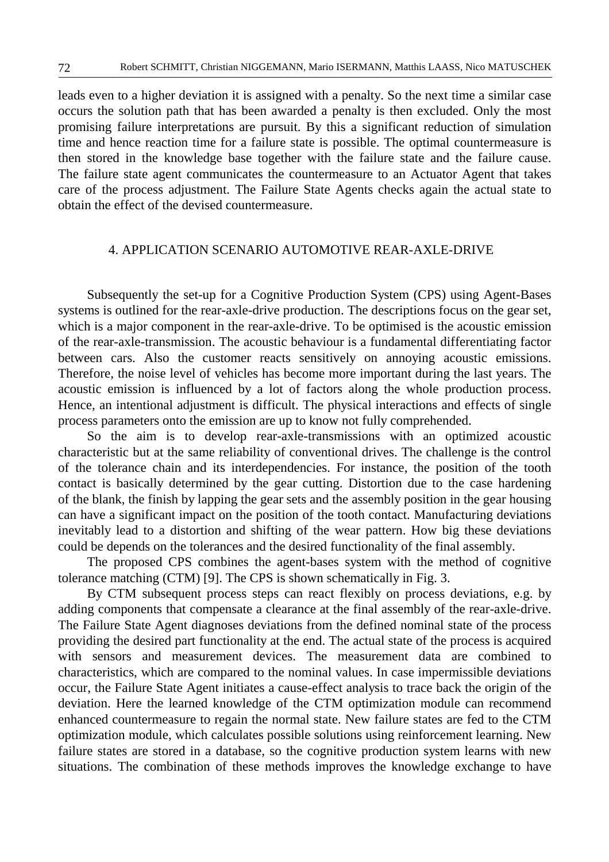leads even to a higher deviation it is assigned with a penalty. So the next time a similar case occurs the solution path that has been awarded a penalty is then excluded. Only the most promising failure interpretations are pursuit. By this a significant reduction of simulation time and hence reaction time for a failure state is possible. The optimal countermeasure is then stored in the knowledge base together with the failure state and the failure cause. The failure state agent communicates the countermeasure to an Actuator Agent that takes care of the process adjustment. The Failure State Agents checks again the actual state to obtain the effect of the devised countermeasure.

## 4. APPLICATION SCENARIO AUTOMOTIVE REAR-AXLE-DRIVE

Subsequently the set-up for a Cognitive Production System (CPS) using Agent-Bases systems is outlined for the rear-axle-drive production. The descriptions focus on the gear set, which is a major component in the rear-axle-drive. To be optimised is the acoustic emission of the rear-axle-transmission. The acoustic behaviour is a fundamental differentiating factor between cars. Also the customer reacts sensitively on annoying acoustic emissions. Therefore, the noise level of vehicles has become more important during the last years. The acoustic emission is influenced by a lot of factors along the whole production process. Hence, an intentional adjustment is difficult. The physical interactions and effects of single process parameters onto the emission are up to know not fully comprehended.

So the aim is to develop rear-axle-transmissions with an optimized acoustic characteristic but at the same reliability of conventional drives. The challenge is the control of the tolerance chain and its interdependencies. For instance, the position of the tooth contact is basically determined by the gear cutting. Distortion due to the case hardening of the blank, the finish by lapping the gear sets and the assembly position in the gear housing can have a significant impact on the position of the tooth contact. Manufacturing deviations inevitably lead to a distortion and shifting of the wear pattern. How big these deviations could be depends on the tolerances and the desired functionality of the final assembly.

The proposed CPS combines the agent-bases system with the method of cognitive tolerance matching (CTM) [9]. The CPS is shown schematically in Fig. 3.

By CTM subsequent process steps can react flexibly on process deviations, e.g. by adding components that compensate a clearance at the final assembly of the rear-axle-drive. The Failure State Agent diagnoses deviations from the defined nominal state of the process providing the desired part functionality at the end. The actual state of the process is acquired with sensors and measurement devices. The measurement data are combined to characteristics, which are compared to the nominal values. In case impermissible deviations occur, the Failure State Agent initiates a cause-effect analysis to trace back the origin of the deviation. Here the learned knowledge of the CTM optimization module can recommend enhanced countermeasure to regain the normal state. New failure states are fed to the CTM optimization module, which calculates possible solutions using reinforcement learning. New failure states are stored in a database, so the cognitive production system learns with new situations. The combination of these methods improves the knowledge exchange to have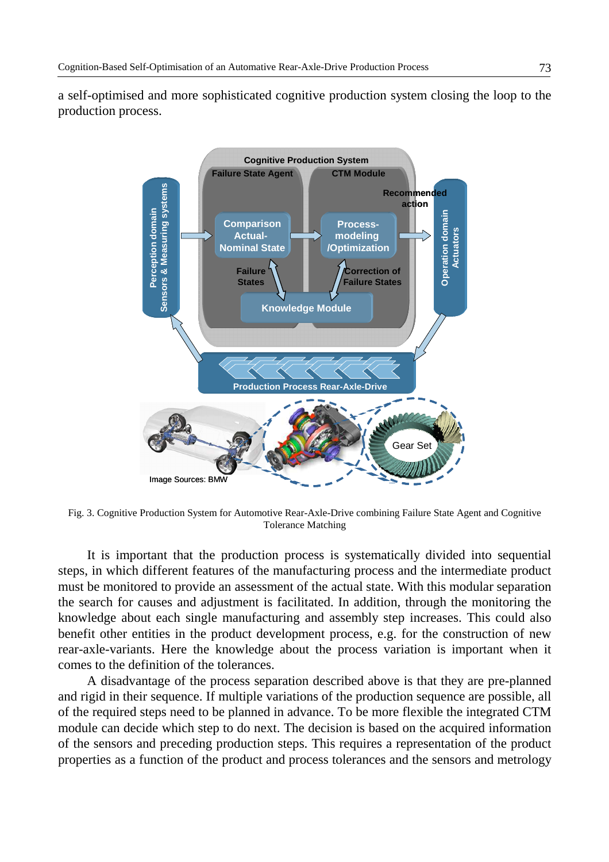a self-optimised and more sophisticated cognitive production system closing the loop to the production process.



Fig. 3. Cognitive Production System for Automotive Rear-Axle-Drive combining Failure State Agent and Cognitive Tolerance Matching

It is important that the production process is systematically divided into sequential steps, in which different features of the manufacturing process and the intermediate product must be monitored to provide an assessment of the actual state. With this modular separation the search for causes and adjustment is facilitated. In addition, through the monitoring the knowledge about each single manufacturing and assembly step increases. This could also benefit other entities in the product development process, e.g. for the construction of new rear-axle-variants. Here the knowledge about the process variation is important when it comes to the definition of the tolerances.

A disadvantage of the process separation described above is that they are pre-planned and rigid in their sequence. If multiple variations of the production sequence are possible, all of the required steps need to be planned in advance. To be more flexible the integrated CTM module can decide which step to do next. The decision is based on the acquired information of the sensors and preceding production steps. This requires a representation of the product properties as a function of the product and process tolerances and the sensors and metrology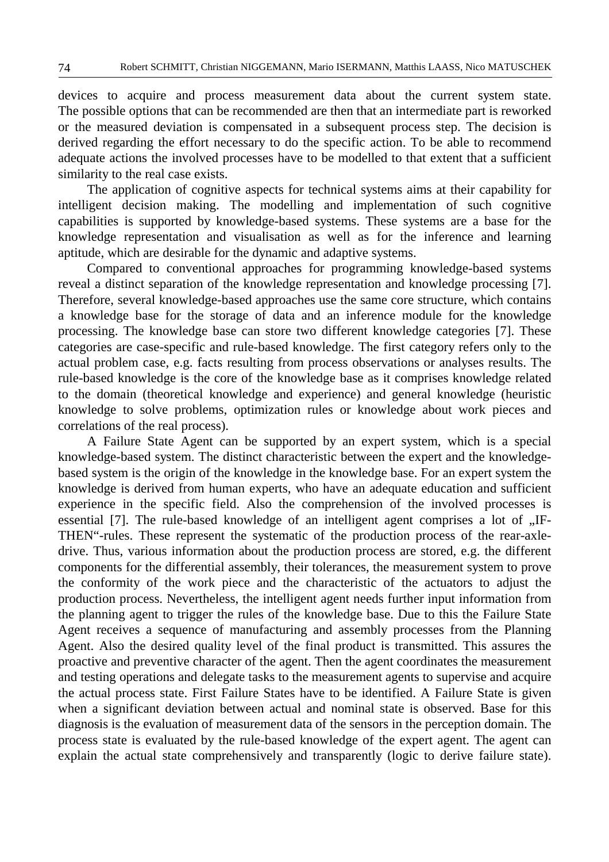devices to acquire and process measurement data about the current system state. The possible options that can be recommended are then that an intermediate part is reworked or the measured deviation is compensated in a subsequent process step. The decision is derived regarding the effort necessary to do the specific action. To be able to recommend adequate actions the involved processes have to be modelled to that extent that a sufficient similarity to the real case exists.

The application of cognitive aspects for technical systems aims at their capability for intelligent decision making. The modelling and implementation of such cognitive capabilities is supported by knowledge-based systems. These systems are a base for the knowledge representation and visualisation as well as for the inference and learning aptitude, which are desirable for the dynamic and adaptive systems.

Compared to conventional approaches for programming knowledge-based systems reveal a distinct separation of the knowledge representation and knowledge processing [7]. Therefore, several knowledge-based approaches use the same core structure, which contains a knowledge base for the storage of data and an inference module for the knowledge processing. The knowledge base can store two different knowledge categories [7]. These categories are case-specific and rule-based knowledge. The first category refers only to the actual problem case, e.g. facts resulting from process observations or analyses results. The rule-based knowledge is the core of the knowledge base as it comprises knowledge related to the domain (theoretical knowledge and experience) and general knowledge (heuristic knowledge to solve problems, optimization rules or knowledge about work pieces and correlations of the real process).

A Failure State Agent can be supported by an expert system, which is a special knowledge-based system. The distinct characteristic between the expert and the knowledgebased system is the origin of the knowledge in the knowledge base. For an expert system the knowledge is derived from human experts, who have an adequate education and sufficient experience in the specific field. Also the comprehension of the involved processes is essential [7]. The rule-based knowledge of an intelligent agent comprises a lot of "IF-THEN"-rules. These represent the systematic of the production process of the rear-axledrive. Thus, various information about the production process are stored, e.g. the different components for the differential assembly, their tolerances, the measurement system to prove the conformity of the work piece and the characteristic of the actuators to adjust the production process. Nevertheless, the intelligent agent needs further input information from the planning agent to trigger the rules of the knowledge base. Due to this the Failure State Agent receives a sequence of manufacturing and assembly processes from the Planning Agent. Also the desired quality level of the final product is transmitted. This assures the proactive and preventive character of the agent. Then the agent coordinates the measurement and testing operations and delegate tasks to the measurement agents to supervise and acquire the actual process state. First Failure States have to be identified. A Failure State is given when a significant deviation between actual and nominal state is observed. Base for this diagnosis is the evaluation of measurement data of the sensors in the perception domain. The process state is evaluated by the rule-based knowledge of the expert agent. The agent can explain the actual state comprehensively and transparently (logic to derive failure state).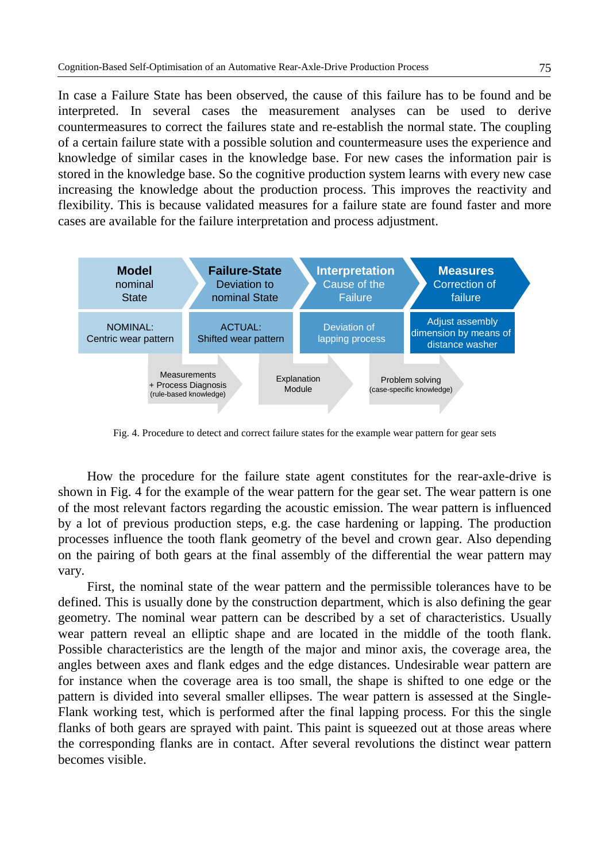In case a Failure State has been observed, the cause of this failure has to be found and be interpreted. In several cases the measurement analyses can be used to derive countermeasures to correct the failures state and re-establish the normal state. The coupling of a certain failure state with a possible solution and countermeasure uses the experience and knowledge of similar cases in the knowledge base. For new cases the information pair is stored in the knowledge base. So the cognitive production system learns with every new case increasing the knowledge about the production process. This improves the reactivity and flexibility. This is because validated measures for a failure state are found faster and more cases are available for the failure interpretation and process adjustment.



Fig. 4. Procedure to detect and correct failure states for the example wear pattern for gear sets

How the procedure for the failure state agent constitutes for the rear-axle-drive is shown in Fig. 4 for the example of the wear pattern for the gear set. The wear pattern is one of the most relevant factors regarding the acoustic emission. The wear pattern is influenced by a lot of previous production steps, e.g. the case hardening or lapping. The production processes influence the tooth flank geometry of the bevel and crown gear. Also depending on the pairing of both gears at the final assembly of the differential the wear pattern may vary.

First, the nominal state of the wear pattern and the permissible tolerances have to be defined. This is usually done by the construction department, which is also defining the gear geometry. The nominal wear pattern can be described by a set of characteristics. Usually wear pattern reveal an elliptic shape and are located in the middle of the tooth flank. Possible characteristics are the length of the major and minor axis, the coverage area, the angles between axes and flank edges and the edge distances. Undesirable wear pattern are for instance when the coverage area is too small, the shape is shifted to one edge or the pattern is divided into several smaller ellipses. The wear pattern is assessed at the Single-Flank working test, which is performed after the final lapping process. For this the single flanks of both gears are sprayed with paint. This paint is squeezed out at those areas where the corresponding flanks are in contact. After several revolutions the distinct wear pattern becomes visible.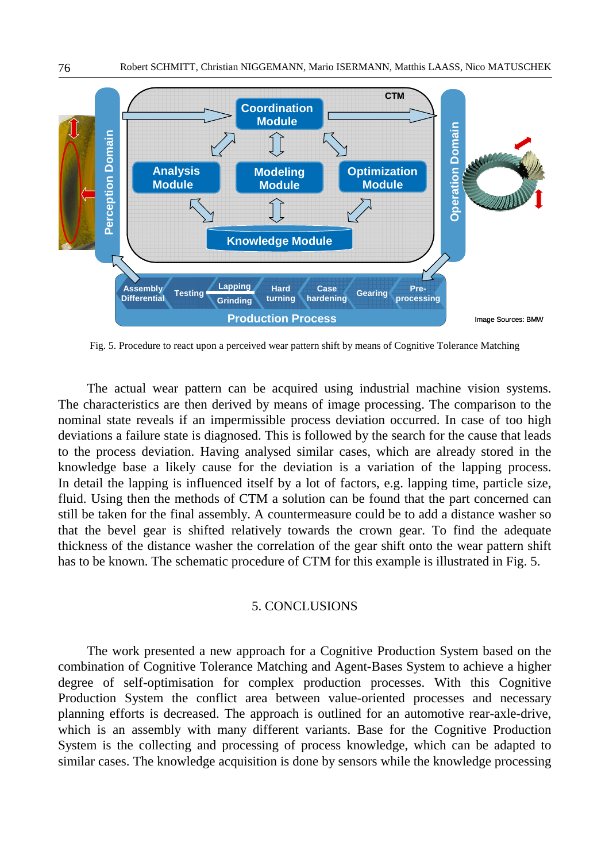

Fig. 5. Procedure to react upon a perceived wear pattern shift by means of Cognitive Tolerance Matching

The actual wear pattern can be acquired using industrial machine vision systems. The characteristics are then derived by means of image processing. The comparison to the nominal state reveals if an impermissible process deviation occurred. In case of too high deviations a failure state is diagnosed. This is followed by the search for the cause that leads to the process deviation. Having analysed similar cases, which are already stored in the knowledge base a likely cause for the deviation is a variation of the lapping process. In detail the lapping is influenced itself by a lot of factors, e.g. lapping time, particle size, fluid. Using then the methods of CTM a solution can be found that the part concerned can still be taken for the final assembly. A countermeasure could be to add a distance washer so that the bevel gear is shifted relatively towards the crown gear. To find the adequate thickness of the distance washer the correlation of the gear shift onto the wear pattern shift has to be known. The schematic procedure of CTM for this example is illustrated in Fig. 5.

#### 5. CONCLUSIONS

The work presented a new approach for a Cognitive Production System based on the combination of Cognitive Tolerance Matching and Agent-Bases System to achieve a higher degree of self-optimisation for complex production processes. With this Cognitive Production System the conflict area between value-oriented processes and necessary planning efforts is decreased. The approach is outlined for an automotive rear-axle-drive, which is an assembly with many different variants. Base for the Cognitive Production System is the collecting and processing of process knowledge, which can be adapted to similar cases. The knowledge acquisition is done by sensors while the knowledge processing